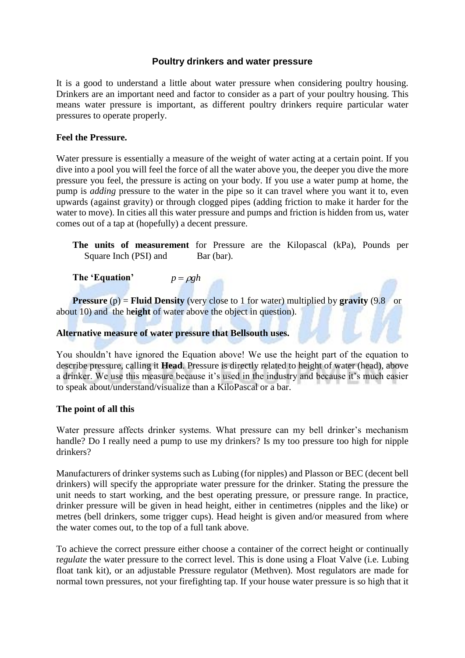# **Poultry drinkers and water pressure**

It is a good to understand a little about water pressure when considering poultry housing. Drinkers are an important need and factor to consider as a part of your poultry housing. This means water pressure is important, as different poultry drinkers require particular water pressures to operate properly.

## **Feel the Pressure.**

Water pressure is essentially a measure of the weight of water acting at a certain point. If you dive into a pool you will feel the force of all the water above you, the deeper you dive the more pressure you feel, the pressure is acting on your body. If you use a water pump at home, the pump is *adding* pressure to the water in the pipe so it can travel where you want it to, even upwards (against gravity) or through clogged pipes (adding friction to make it harder for the water to move). In cities all this water pressure and pumps and friction is hidden from us, water comes out of a tap at (hopefully) a decent pressure.

**The units of measurement** for Pressure are the Kilopascal (kPa), Pounds per Square Inch (PSI) and Bar (bar).

**The 'Equation'**   $p = \rho g h$ 

**Pressure** (p) = **Fluid Density** (very close to 1 for water) multiplied by **gravity** (9.8 or about 10) and the h**eight** of water above the object in question).

## **Alternative measure of water pressure that Bellsouth uses.**

You shouldn't have ignored the Equation above! We use the height part of the equation to describe pressure, calling it **Head**. Pressure is directly related to height of water (head), above a drinker. We use this measure because it's used in the industry and because it's much easier to speak about/understand/visualize than a KiloPascal or a bar.

## **The point of all this**

Water pressure affects drinker systems. What pressure can my bell drinker's mechanism handle? Do I really need a pump to use my drinkers? Is my too pressure too high for nipple drinkers?

Manufacturers of drinker systems such as Lubing (for nipples) and Plasson or BEC (decent bell drinkers) will specify the appropriate water pressure for the drinker. Stating the pressure the unit needs to start working, and the best operating pressure, or pressure range. In practice, drinker pressure will be given in head height, either in centimetres (nipples and the like) or metres (bell drinkers, some trigger cups). Head height is given and/or measured from where the water comes out, to the top of a full tank above.

To achieve the correct pressure either choose a container of the correct height or continually r*egulate* the water pressure to the correct level. This is done using a Float Valve (i.e. Lubing float tank kit), or an adjustable Pressure regulator (Methven). Most regulators are made for normal town pressures, not your firefighting tap. If your house water pressure is so high that it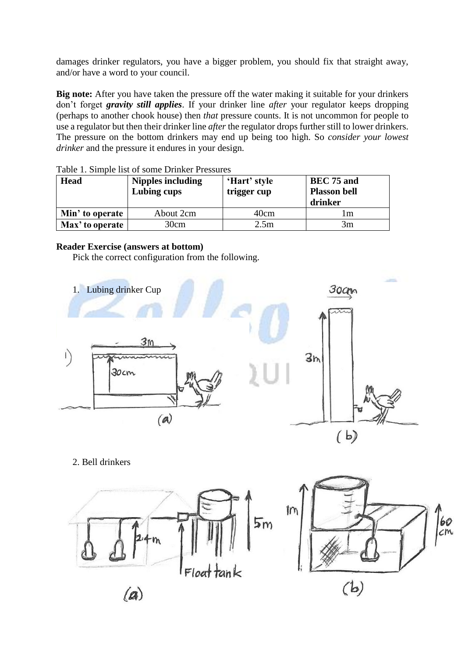damages drinker regulators, you have a bigger problem, you should fix that straight away, and/or have a word to your council.

**Big note:** After you have taken the pressure off the water making it suitable for your drinkers don't forget *gravity still applies*. If your drinker line *after* your regulator keeps dropping (perhaps to another chook house) then *that* pressure counts. It is not uncommon for people to use a regulator but then their drinker line *after* the regulator drops further still to lower drinkers. The pressure on the bottom drinkers may end up being too high. So *consider your lowest drinker* and the pressure it endures in your design.

| <b>Head</b>     | <b>Nipples including</b><br>Lubing cups | 'Hart' style<br>trigger cup | BEC 75 and<br><b>Plasson bell</b><br>drinker |
|-----------------|-----------------------------------------|-----------------------------|----------------------------------------------|
| Min' to operate | About 2cm                               | 40cm                        | l m                                          |
| Max' to operate | 30cm                                    | 2.5m                        | 3m                                           |

|  | Table 1. Simple list of some Drinker Pressures |
|--|------------------------------------------------|
|--|------------------------------------------------|

## **Reader Exercise (answers at bottom)**

Pick the correct configuration from the following.



2. Bell drinkers